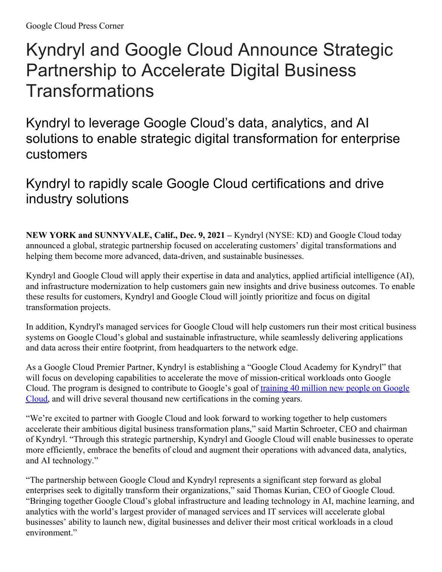## Kyndryl and Google Cloud Announce Strategic Partnership to Accelerate Digital Business **Transformations**

Kyndryl to leverage Google Cloud's data, analytics, and AI solutions to enable strategic digital transformation for enterprise customers

## Kyndryl to rapidly scale Google Cloud certifications and drive industry solutions

**NEW YORK and SUNNYVALE, Calif., Dec. 9, 2021 –** Kyndryl (NYSE: KD) and Google Cloud today announced a global, strategic partnership focused on accelerating customers' digital transformations and helping them become more advanced, data-driven, and sustainable businesses.

Kyndryl and Google Cloud will apply their expertise in data and analytics, applied artificial intelligence (AI), and infrastructure modernization to help customers gain new insights and drive business outcomes. To enable these results for customers, Kyndryl and Google Cloud will jointly prioritize and focus on digital transformation projects.

In addition, Kyndryl's managed services for Google Cloud will help customers run their most critical business systems on Google Cloud's global and sustainable infrastructure, while seamlessly delivering applications and data across their entire footprint, from headquarters to the network edge.

As a Google Cloud Premier Partner, Kyndryl is establishing a "Google Cloud Academy for Kyndryl" that will focus on developing capabilities to accelerate the move of mission-critical workloads onto Google Cloud. The program is designed to contribute to Google's goal of training 40 million new people on Google Cloud, and will drive several thousand new [certifications](https://cloud.google.com/blog/topics/training-certifications/google-cloud-to-train-more-than-40-million-with-cloud-skills) in the coming years.

"We're excited to partner with Google Cloud and look forward to working together to help customers accelerate their ambitious digital business transformation plans," said Martin Schroeter, CEO and chairman of Kyndryl. "Through this strategic partnership, Kyndryl and Google Cloud will enable businesses to operate more efficiently, embrace the benefits of cloud and augment their operations with advanced data, analytics, and AI technology."

"The partnership between Google Cloud and Kyndryl represents a significant step forward as global enterprises seek to digitally transform their organizations," said Thomas Kurian, CEO of Google Cloud. "Bringing together Google Cloud's global infrastructure and leading technology in AI, machine learning, and analytics with the world's largest provider of managed services and IT services will accelerate global businesses' ability to launch new, digital businesses and deliver their most critical workloads in a cloud environment."